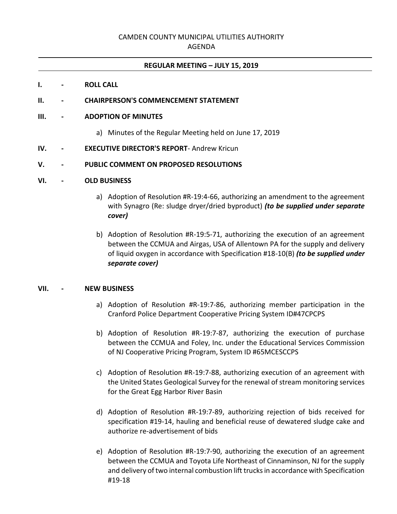# CAMDEN COUNTY MUNICIPAL UTILITIES AUTHORITY

#### AGENDA

#### **REGULAR MEETING – JULY 15, 2019**

#### **I. - ROLL CALL**

### **II. - CHAIRPERSON'S COMMENCEMENT STATEMENT**

#### **III. - ADOPTION OF MINUTES**

a) Minutes of the Regular Meeting held on June 17, 2019

#### **IV. - EXECUTIVE DIRECTOR'S REPORT**- Andrew Kricun

### **V. - PUBLIC COMMENT ON PROPOSED RESOLUTIONS**

#### **VI. - OLD BUSINESS**

- a) Adoption of Resolution #R-19:4-66, authorizing an amendment to the agreement with Synagro (Re: sludge dryer/dried byproduct) *(to be supplied under separate cover)*
- b) Adoption of Resolution #R-19:5-71, authorizing the execution of an agreement between the CCMUA and Airgas, USA of Allentown PA for the supply and delivery of liquid oxygen in accordance with Specification #18-10(B) *(to be supplied under separate cover)*

## **VII. - NEW BUSINESS**

- a) Adoption of Resolution #R-19:7-86, authorizing member participation in the Cranford Police Department Cooperative Pricing System ID#47CPCPS
- b) Adoption of Resolution #R-19:7-87, authorizing the execution of purchase between the CCMUA and Foley, Inc. under the Educational Services Commission of NJ Cooperative Pricing Program, System ID #65MCESCCPS
- c) Adoption of Resolution #R-19:7-88, authorizing execution of an agreement with the United States Geological Survey for the renewal of stream monitoring services for the Great Egg Harbor River Basin
- d) Adoption of Resolution #R-19:7-89, authorizing rejection of bids received for specification #19-14, hauling and beneficial reuse of dewatered sludge cake and authorize re-advertisement of bids
- e) Adoption of Resolution #R-19:7-90, authorizing the execution of an agreement between the CCMUA and Toyota Life Northeast of Cinnaminson, NJ for the supply and delivery of two internal combustion lift trucks in accordance with Specification #19-18